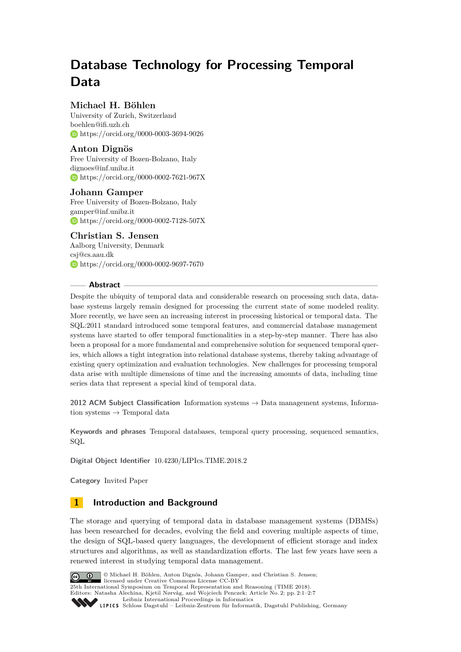# **Database Technology for Processing Temporal Data**

# **Michael H. Böhlen**

University of Zurich, Switzerland [boehlen@ifi.uzh.ch](mailto:boehlen@ifi.uzh.ch) <https://orcid.org/0000-0003-3694-9026>

# **Anton Dignös**

Free University of Bozen-Bolzano, Italy [dignoes@inf.unibz.it](mailto:dignoes@inf.unibz.it) <https://orcid.org/0000-0002-7621-967X>

# **Johann Gamper**

Free University of Bozen-Bolzano, Italy [gamper@inf.unibz.it](mailto:gamper@inf.unibz.it) <https://orcid.org/0000-0002-7128-507X>

# **Christian S. Jensen**

Aalborg University, Denmark [csj@cs.aau.dk](mailto:csj@cs.aau.dk) <https://orcid.org/0000-0002-9697-7670>

## **Abstract**

Despite the ubiquity of temporal data and considerable research on processing such data, database systems largely remain designed for processing the current state of some modeled reality. More recently, we have seen an increasing interest in processing historical or temporal data. The SQL:2011 standard introduced some temporal features, and commercial database management systems have started to offer temporal functionalities in a step-by-step manner. There has also been a proposal for a more fundamental and comprehensive solution for sequenced temporal queries, which allows a tight integration into relational database systems, thereby taking advantage of existing query optimization and evaluation technologies. New challenges for processing temporal data arise with multiple dimensions of time and the increasing amounts of data, including time series data that represent a special kind of temporal data.

**2012 ACM Subject Classification** Information systems → Data management systems, Information systems  $\rightarrow$  Temporal data

**Keywords and phrases** Temporal databases, temporal query processing, sequenced semantics, SQL

**Digital Object Identifier** [10.4230/LIPIcs.TIME.2018.2](https://doi.org/10.4230/LIPIcs.TIME.2018.2)

**Category** Invited Paper

# **1 Introduction and Background**

The storage and querying of temporal data in database management systems (DBMSs) has been researched for decades, evolving the field and covering multiple aspects of time, the design of SQL-based query languages, the development of efficient storage and index structures and algorithms, as well as standardization efforts. The last few years have seen a renewed interest in studying temporal data management.



© Michael H. Böhlen, Anton Dignös, Johann Gamper, and Christian S. Jensen; licensed under Creative Commons License CC-BY

25th International Symposium on Temporal Representation and Reasoning (TIME 2018).

Editors: Natasha Alechina, Kjetil Nørvåg, and Wojciech Penczek; Article No. 2; pp. 2:1–2[:7](#page-6-0) [Leibniz International Proceedings in Informatics](http://www.dagstuhl.de/lipics/)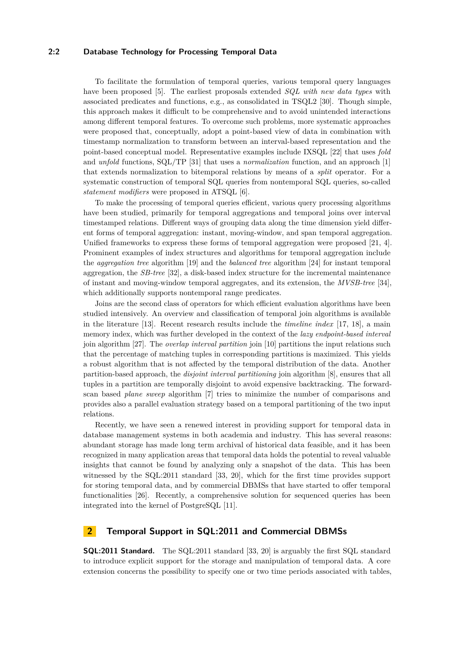### **2:2 Database Technology for Processing Temporal Data**

To facilitate the formulation of temporal queries, various temporal query languages have been proposed [\[5\]](#page-4-0). The earliest proposals extended *SQL with new data types* with associated predicates and functions, e.g., as consolidated in TSQL2 [\[30\]](#page-6-1). Though simple, this approach makes it difficult to be comprehensive and to avoid unintended interactions among different temporal features. To overcome such problems, more systematic approaches were proposed that, conceptually, adopt a point-based view of data in combination with timestamp normalization to transform between an interval-based representation and the point-based conceptual model. Representative examples include IXSQL [\[22\]](#page-5-0) that uses *fold* and *unfold* functions, SQL/TP [\[31\]](#page-6-2) that uses a *normalization* function, and an approach [\[1\]](#page-4-1) that extends normalization to bitemporal relations by means of a *split* operator. For a systematic construction of temporal SQL queries from nontemporal SQL queries, so-called *statement modifiers* were proposed in ATSQL [\[6\]](#page-4-2).

To make the processing of temporal queries efficient, various query processing algorithms have been studied, primarily for temporal aggregations and temporal joins over interval timestamped relations. Different ways of grouping data along the time dimension yield different forms of temporal aggregation: instant, moving-window, and span temporal aggregation. Unified frameworks to express these forms of temporal aggregation were proposed [\[21,](#page-5-1) [4\]](#page-4-3). Prominent examples of index structures and algorithms for temporal aggregation include the *aggregation tree* algorithm [\[19\]](#page-5-2) and the *balanced tree* algorithm [\[24\]](#page-6-3) for instant temporal aggregation, the *SB-tree* [\[32\]](#page-6-4), a disk-based index structure for the incremental maintenance of instant and moving-window temporal aggregates, and its extension, the *MVSB-tree* [\[34\]](#page-6-5), which additionally supports nontemporal range predicates.

Joins are the second class of operators for which efficient evaluation algorithms have been studied intensively. An overview and classification of temporal join algorithms is available in the literature [\[13\]](#page-5-3). Recent research results include the *timeline index* [\[17,](#page-5-4) [18\]](#page-5-5), a main memory index, which was further developed in the context of the *lazy endpoint-based interval* join algorithm [\[27\]](#page-6-6). The *overlap interval partition* join [\[10\]](#page-5-6) partitions the input relations such that the percentage of matching tuples in corresponding partitions is maximized. This yields a robust algorithm that is not affected by the temporal distribution of the data. Another partition-based approach, the *disjoint interval partitioning* join algorithm [\[8\]](#page-4-4), ensures that all tuples in a partition are temporally disjoint to avoid expensive backtracking. The forwardscan based *plane sweep* algorithm [\[7\]](#page-4-5) tries to minimize the number of comparisons and provides also a parallel evaluation strategy based on a temporal partitioning of the two input relations.

Recently, we have seen a renewed interest in providing support for temporal data in database management systems in both academia and industry. This has several reasons: abundant storage has made long term archival of historical data feasible, and it has been recognized in many application areas that temporal data holds the potential to reveal valuable insights that cannot be found by analyzing only a snapshot of the data. This has been witnessed by the SQL:2011 standard [\[33,](#page-6-7) [20\]](#page-5-7), which for the first time provides support for storing temporal data, and by commercial DBMSs that have started to offer temporal functionalities [\[26\]](#page-6-8). Recently, a comprehensive solution for sequenced queries has been integrated into the kernel of PostgreSQL [\[11\]](#page-5-8).

# **2 Temporal Support in SQL:2011 and Commercial DBMSs**

**SQL:2011 Standard.** The SQL:2011 standard [\[33,](#page-6-7) [20\]](#page-5-7) is arguably the first SQL standard to introduce explicit support for the storage and manipulation of temporal data. A core extension concerns the possibility to specify one or two time periods associated with tables,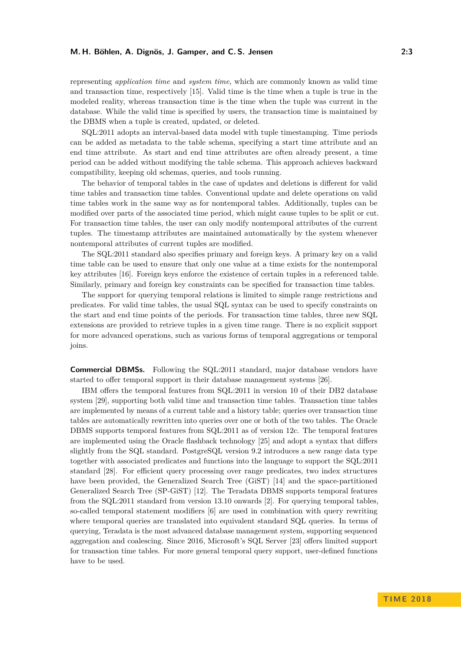#### **M. H. Böhlen, A. Dignös, J. Gamper, and C. S. Jensen 2:3**

representing *application time* and *system time*, which are commonly known as valid time and transaction time, respectively [\[15\]](#page-5-9). Valid time is the time when a tuple is true in the modeled reality, whereas transaction time is the time when the tuple was current in the database. While the valid time is specified by users, the transaction time is maintained by the DBMS when a tuple is created, updated, or deleted.

SQL:2011 adopts an interval-based data model with tuple timestamping. Time periods can be added as metadata to the table schema, specifying a start time attribute and an end time attribute. As start and end time attributes are often already present, a time period can be added without modifying the table schema. This approach achieves backward compatibility, keeping old schemas, queries, and tools running.

The behavior of temporal tables in the case of updates and deletions is different for valid time tables and transaction time tables. Conventional update and delete operations on valid time tables work in the same way as for nontemporal tables. Additionally, tuples can be modified over parts of the associated time period, which might cause tuples to be split or cut. For transaction time tables, the user can only modify nontemporal attributes of the current tuples. The timestamp attributes are maintained automatically by the system whenever nontemporal attributes of current tuples are modified.

The SQL:2011 standard also specifies primary and foreign keys. A primary key on a valid time table can be used to ensure that only one value at a time exists for the nontemporal key attributes [\[16\]](#page-5-10). Foreign keys enforce the existence of certain tuples in a referenced table. Similarly, primary and foreign key constraints can be specified for transaction time tables.

The support for querying temporal relations is limited to simple range restrictions and predicates. For valid time tables, the usual SQL syntax can be used to specify constraints on the start and end time points of the periods. For transaction time tables, three new SQL extensions are provided to retrieve tuples in a given time range. There is no explicit support for more advanced operations, such as various forms of temporal aggregations or temporal joins.

**Commercial DBMSs.** Following the SQL:2011 standard, major database vendors have started to offer temporal support in their database management systems [\[26\]](#page-6-8).

IBM offers the temporal features from SQL:2011 in version 10 of their DB2 database system [\[29\]](#page-6-9), supporting both valid time and transaction time tables. Transaction time tables are implemented by means of a current table and a history table; queries over transaction time tables are automatically rewritten into queries over one or both of the two tables. The Oracle DBMS supports temporal features from SQL:2011 as of version 12c. The temporal features are implemented using the Oracle flashback technology [\[25\]](#page-6-10) and adopt a syntax that differs slightly from the SQL standard. PostgreSQL version 9.2 introduces a new range data type together with associated predicates and functions into the language to support the SQL:2011 standard [\[28\]](#page-6-11). For efficient query processing over range predicates, two index structures have been provided, the Generalized Search Tree (GiST) [\[14\]](#page-5-11) and the space-partitioned Generalized Search Tree (SP-GiST) [\[12\]](#page-5-12). The Teradata DBMS supports temporal features from the SQL:2011 standard from version 13.10 onwards [\[2\]](#page-4-6). For querying temporal tables, so-called temporal statement modifiers [\[6\]](#page-4-2) are used in combination with query rewriting where temporal queries are translated into equivalent standard SQL queries. In terms of querying, Teradata is the most advanced database management system, supporting sequenced aggregation and coalescing. Since 2016, Microsoft's SQL Server [\[23\]](#page-6-12) offers limited support for transaction time tables. For more general temporal query support, user-defined functions have to be used.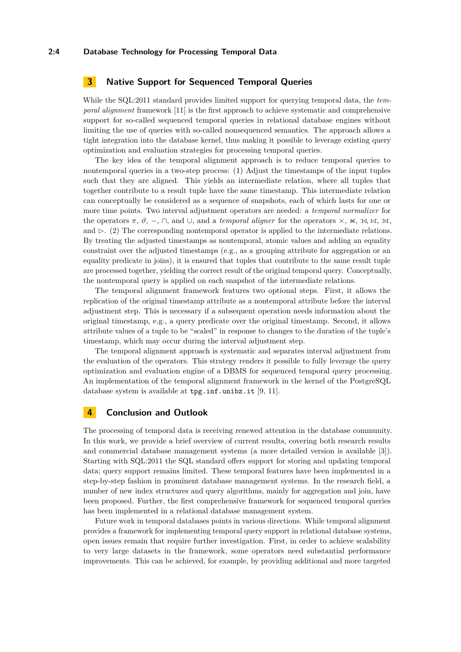#### **2:4 Database Technology for Processing Temporal Data**

# **3 Native Support for Sequenced Temporal Queries**

While the SQL:2011 standard provides limited support for querying temporal data, the *temporal alignment* framework [\[11\]](#page-5-8) is the first approach to achieve systematic and comprehensive support for so-called sequenced temporal queries in relational database engines without limiting the use of queries with so-called nonsequenced semantics. The approach allows a tight integration into the database kernel, thus making it possible to leverage existing query optimization and evaluation strategies for processing temporal queries.

The key idea of the temporal alignment approach is to reduce temporal queries to nontemporal queries in a two-step process: (1) Adjust the timestamps of the input tuples such that they are aligned. This yields an intermediate relation, where all tuples that together contribute to a result tuple have the same timestamp. This intermediate relation can conceptually be considered as a sequence of snapshots, each of which lasts for one or more time points. Two interval adjustment operators are needed: a *temporal normalizer* for the operators  $\pi$ ,  $\vartheta$ ,  $\neg$ ,  $\cap$ , and  $\cup$ , and a *temporal aligner* for the operators  $\times$ ,  $\ltimes$ ,  $\ltimes$ ,  $\ltimes$ ,  $\ltimes$ , and  $\triangleright$ . (2) The corresponding nontemporal operator is applied to the intermediate relations. By treating the adjusted timestamps as nontemporal, atomic values and adding an equality constraint over the adjusted timestamps (e.g., as a grouping attribute for aggregation or an equality predicate in joins), it is ensured that tuples that contribute to the same result tuple are processed together, yielding the correct result of the original temporal query. Conceptually, the nontemporal query is applied on each snapshot of the intermediate relations.

The temporal alignment framework features two optional steps. First, it allows the replication of the original timestamp attribute as a nontemporal attribute before the interval adjustment step. This is necessary if a subsequent operation needs information about the original timestamp, e.g., a query predicate over the original timestamp. Second, it allows attribute values of a tuple to be "scaled" in response to changes to the duration of the tuple's timestamp, which may occur during the interval adjustment step.

The temporal alignment approach is systematic and separates interval adjustment from the evaluation of the operators. This strategy renders it possible to fully leverage the query optimization and evaluation engine of a DBMS for sequenced temporal query processing. An implementation of the temporal alignment framework in the kernel of the PostgreSQL database system is available at <tpg.inf.unibz.it> [\[9,](#page-5-13) [11\]](#page-5-8).

# **4 Conclusion and Outlook**

The processing of temporal data is receiving renewed attention in the database community. In this work, we provide a brief overview of current results, covering both research results and commercial database management systems (a more detailed version is available [\[3\]](#page-4-7)). Starting with SQL:2011 the SQL standard offers support for storing and updating temporal data; query support remains limited. These temporal features have been implemented in a step-by-step fashion in prominent database management systems. In the research field, a number of new index structures and query algorithms, mainly for aggregation and join, have been proposed. Further, the first comprehensive framework for sequenced temporal queries has been implemented in a relational database management system.

Future work in temporal databases points in various directions. While temporal alignment provides a framework for implementing temporal query support in relational database systems, open issues remain that require further investigation. First, in order to achieve scalability to very large datasets in the framework, some operators need substantial performance improvements. This can be achieved, for example, by providing additional and more targeted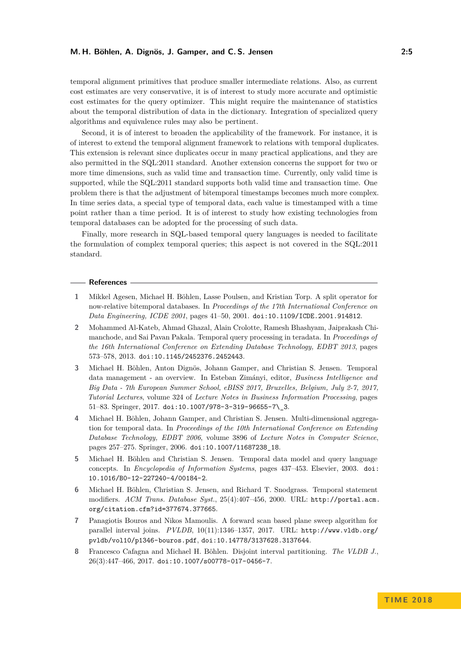#### **M. H. Böhlen, A. Dignös, J. Gamper, and C. S. Jensen 2:5**

temporal alignment primitives that produce smaller intermediate relations. Also, as current cost estimates are very conservative, it is of interest to study more accurate and optimistic cost estimates for the query optimizer. This might require the maintenance of statistics about the temporal distribution of data in the dictionary. Integration of specialized query algorithms and equivalence rules may also be pertinent.

Second, it is of interest to broaden the applicability of the framework. For instance, it is of interest to extend the temporal alignment framework to relations with temporal duplicates. This extension is relevant since duplicates occur in many practical applications, and they are also permitted in the SQL:2011 standard. Another extension concerns the support for two or more time dimensions, such as valid time and transaction time. Currently, only valid time is supported, while the SQL:2011 standard supports both valid time and transaction time. One problem there is that the adjustment of bitemporal timestamps becomes much more complex. In time series data, a special type of temporal data, each value is timestamped with a time point rather than a time period. It is of interest to study how existing technologies from temporal databases can be adopted for the processing of such data.

Finally, more research in SQL-based temporal query languages is needed to facilitate the formulation of complex temporal queries; this aspect is not covered in the SQL:2011 standard.

#### **References**

- <span id="page-4-1"></span>**1** Mikkel Agesen, Michael H. Böhlen, Lasse Poulsen, and Kristian Torp. A split operator for now-relative bitemporal databases. In *Proceedings of the 17th International Conference on Data Engineering, ICDE 2001*, pages 41–50, 2001. [doi:10.1109/ICDE.2001.914812](http://dx.doi.org/10.1109/ICDE.2001.914812).
- <span id="page-4-6"></span>**2** Mohammed Al-Kateb, Ahmad Ghazal, Alain Crolotte, Ramesh Bhashyam, Jaiprakash Chimanchode, and Sai Pavan Pakala. Temporal query processing in teradata. In *Proceedings of the 16th International Conference on Extending Database Technology, EDBT 2013*, pages 573–578, 2013. [doi:10.1145/2452376.2452443](http://dx.doi.org/10.1145/2452376.2452443).
- <span id="page-4-7"></span>**3** Michael H. Böhlen, Anton Dignös, Johann Gamper, and Christian S. Jensen. Temporal data management - an overview. In Esteban Zimányi, editor, *Business Intelligence and Big Data - 7th European Summer School, eBISS 2017, Bruxelles, Belgium, July 2-7, 2017, Tutorial Lectures*, volume 324 of *Lecture Notes in Business Information Processing*, pages 51–83. Springer, 2017. [doi:10.1007/978-3-319-96655-7\\\_3](http://dx.doi.org/10.1007/978-3-319-96655-7_3).
- <span id="page-4-3"></span>**4** Michael H. Böhlen, Johann Gamper, and Christian S. Jensen. Multi-dimensional aggregation for temporal data. In *Proceedings of the 10th International Conference on Extending Database Technology, EDBT 2006*, volume 3896 of *Lecture Notes in Computer Science*, pages 257–275. Springer, 2006. [doi:10.1007/11687238\\_18](http://dx.doi.org/10.1007/11687238_18).
- <span id="page-4-0"></span>**5** Michael H. Böhlen and Christian S. Jensen. Temporal data model and query language concepts. In *Encyclopedia of Information Systems*, pages 437–453. Elsevier, 2003. [doi:](http://dx.doi.org/10.1016/B0-12-227240-4/00184-2) [10.1016/B0-12-227240-4/00184-2](http://dx.doi.org/10.1016/B0-12-227240-4/00184-2).
- <span id="page-4-2"></span>**6** Michael H. Böhlen, Christian S. Jensen, and Richard T. Snodgrass. Temporal statement modifiers. *ACM Trans. Database Syst.*, 25(4):407–456, 2000. URL: [http://portal.acm.](http://portal.acm.org/citation.cfm?id=377674.377665) [org/citation.cfm?id=377674.377665](http://portal.acm.org/citation.cfm?id=377674.377665).
- <span id="page-4-5"></span>**7** Panagiotis Bouros and Nikos Mamoulis. A forward scan based plane sweep algorithm for parallel interval joins. *PVLDB*, 10(11):1346–1357, 2017. URL: [http://www.vldb.org/](http://www.vldb.org/pvldb/vol10/p1346-bouros.pdf) [pvldb/vol10/p1346-bouros.pdf](http://www.vldb.org/pvldb/vol10/p1346-bouros.pdf), [doi:10.14778/3137628.3137644](http://dx.doi.org/10.14778/3137628.3137644).
- <span id="page-4-4"></span>**8** Francesco Cafagna and Michael H. Böhlen. Disjoint interval partitioning. *The VLDB J.*, 26(3):447–466, 2017. [doi:10.1007/s00778-017-0456-7](http://dx.doi.org/10.1007/s00778-017-0456-7).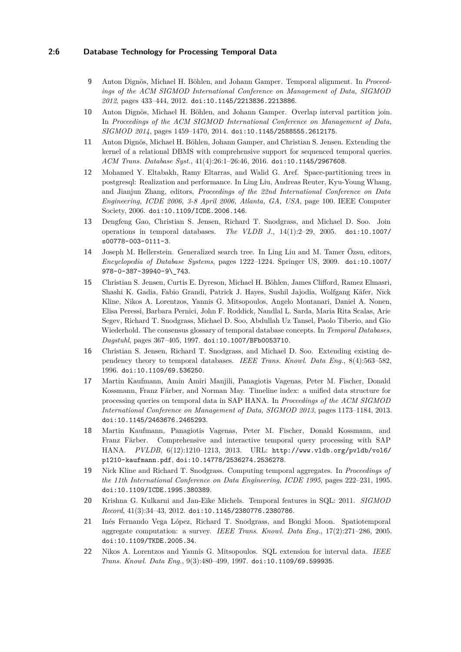## **2:6 Database Technology for Processing Temporal Data**

- <span id="page-5-13"></span>**9** Anton Dignös, Michael H. Böhlen, and Johann Gamper. Temporal alignment. In *Proceedings of the ACM SIGMOD International Conference on Management of Data, SIGMOD 2012*, pages 433–444, 2012. [doi:10.1145/2213836.2213886](http://dx.doi.org/10.1145/2213836.2213886).
- <span id="page-5-6"></span>**10** Anton Dignös, Michael H. Böhlen, and Johann Gamper. Overlap interval partition join. In *Proceedings of the ACM SIGMOD International Conference on Management of Data, SIGMOD 2014*, pages 1459–1470, 2014. [doi:10.1145/2588555.2612175](http://dx.doi.org/10.1145/2588555.2612175).
- <span id="page-5-8"></span>**11** Anton Dignös, Michael H. Böhlen, Johann Gamper, and Christian S. Jensen. Extending the kernel of a relational DBMS with comprehensive support for sequenced temporal queries. *ACM Trans. Database Syst.*, 41(4):26:1–26:46, 2016. [doi:10.1145/2967608](http://dx.doi.org/10.1145/2967608).
- <span id="page-5-12"></span>**12** Mohamed Y. Eltabakh, Ramy Eltarras, and Walid G. Aref. Space-partitioning trees in postgresql: Realization and performance. In Ling Liu, Andreas Reuter, Kyu-Young Whang, and Jianjun Zhang, editors, *Proceedings of the 22nd International Conference on Data Engineering, ICDE 2006, 3-8 April 2006, Atlanta, GA, USA*, page 100. IEEE Computer Society, 2006. [doi:10.1109/ICDE.2006.146](http://dx.doi.org/10.1109/ICDE.2006.146).
- <span id="page-5-3"></span>**13** Dengfeng Gao, Christian S. Jensen, Richard T. Snodgrass, and Michael D. Soo. Join operations in temporal databases. *The VLDB J.*, 14(1):2–29, 2005. [doi:10.1007/](http://dx.doi.org/10.1007/s00778-003-0111-3) [s00778-003-0111-3](http://dx.doi.org/10.1007/s00778-003-0111-3).
- <span id="page-5-11"></span>**14** Joseph M. Hellerstein. Generalized search tree. In Ling Liu and M. Tamer Özsu, editors, *Encyclopedia of Database Systems*, pages 1222–1224. Springer US, 2009. [doi:10.1007/](http://dx.doi.org/10.1007/978-0-387-39940-9_743) [978-0-387-39940-9\\\_743](http://dx.doi.org/10.1007/978-0-387-39940-9_743).
- <span id="page-5-9"></span>**15** Christian S. Jensen, Curtis E. Dyreson, Michael H. Böhlen, James Clifford, Ramez Elmasri, Shashi K. Gadia, Fabio Grandi, Patrick J. Hayes, Sushil Jajodia, Wolfgang Käfer, Nick Kline, Nikos A. Lorentzos, Yannis G. Mitsopoulos, Angelo Montanari, Daniel A. Nonen, Elisa Peressi, Barbara Pernici, John F. Roddick, Nandlal L. Sarda, Maria Rita Scalas, Arie Segev, Richard T. Snodgrass, Michael D. Soo, Abdullah Uz Tansel, Paolo Tiberio, and Gio Wiederhold. The consensus glossary of temporal database concepts. In *Temporal Databases, Dagstuhl*, pages 367–405, 1997. [doi:10.1007/BFb0053710](http://dx.doi.org/10.1007/BFb0053710).
- <span id="page-5-10"></span>**16** Christian S. Jensen, Richard T. Snodgrass, and Michael D. Soo. Extending existing dependency theory to temporal databases. *IEEE Trans. Knowl. Data Eng.*, 8(4):563–582, 1996. [doi:10.1109/69.536250](http://dx.doi.org/10.1109/69.536250).
- <span id="page-5-4"></span>**17** Martin Kaufmann, Amin Amiri Manjili, Panagiotis Vagenas, Peter M. Fischer, Donald Kossmann, Franz Färber, and Norman May. Timeline index: a unified data structure for processing queries on temporal data in SAP HANA. In *Proceedings of the ACM SIGMOD International Conference on Management of Data, SIGMOD 2013*, pages 1173–1184, 2013. [doi:10.1145/2463676.2465293](http://dx.doi.org/10.1145/2463676.2465293).
- <span id="page-5-5"></span>**18** Martin Kaufmann, Panagiotis Vagenas, Peter M. Fischer, Donald Kossmann, and Franz Färber. Comprehensive and interactive temporal query processing with SAP HANA. *PVLDB*, 6(12):1210–1213, 2013. URL: [http://www.vldb.org/pvldb/vol6/](http://www.vldb.org/pvldb/vol6/p1210-kaufmann.pdf) [p1210-kaufmann.pdf](http://www.vldb.org/pvldb/vol6/p1210-kaufmann.pdf), [doi:10.14778/2536274.2536278](http://dx.doi.org/10.14778/2536274.2536278).
- <span id="page-5-2"></span>**19** Nick Kline and Richard T. Snodgrass. Computing temporal aggregates. In *Proceedings of the 11th International Conference on Data Engineering, ICDE 1995*, pages 222–231, 1995. [doi:10.1109/ICDE.1995.380389](http://dx.doi.org/10.1109/ICDE.1995.380389).
- <span id="page-5-7"></span>**20** Krishna G. Kulkarni and Jan-Eike Michels. Temporal features in SQL: 2011. *SIGMOD Record*, 41(3):34–43, 2012. [doi:10.1145/2380776.2380786](http://dx.doi.org/10.1145/2380776.2380786).
- <span id="page-5-1"></span>**21** Inés Fernando Vega López, Richard T. Snodgrass, and Bongki Moon. Spatiotemporal aggregate computation: a survey. *IEEE Trans. Knowl. Data Eng.*, 17(2):271–286, 2005. [doi:10.1109/TKDE.2005.34](http://dx.doi.org/10.1109/TKDE.2005.34).
- <span id="page-5-0"></span>**22** Nikos A. Lorentzos and Yannis G. Mitsopoulos. SQL extension for interval data. *IEEE Trans. Knowl. Data Eng.*, 9(3):480–499, 1997. [doi:10.1109/69.599935](http://dx.doi.org/10.1109/69.599935).